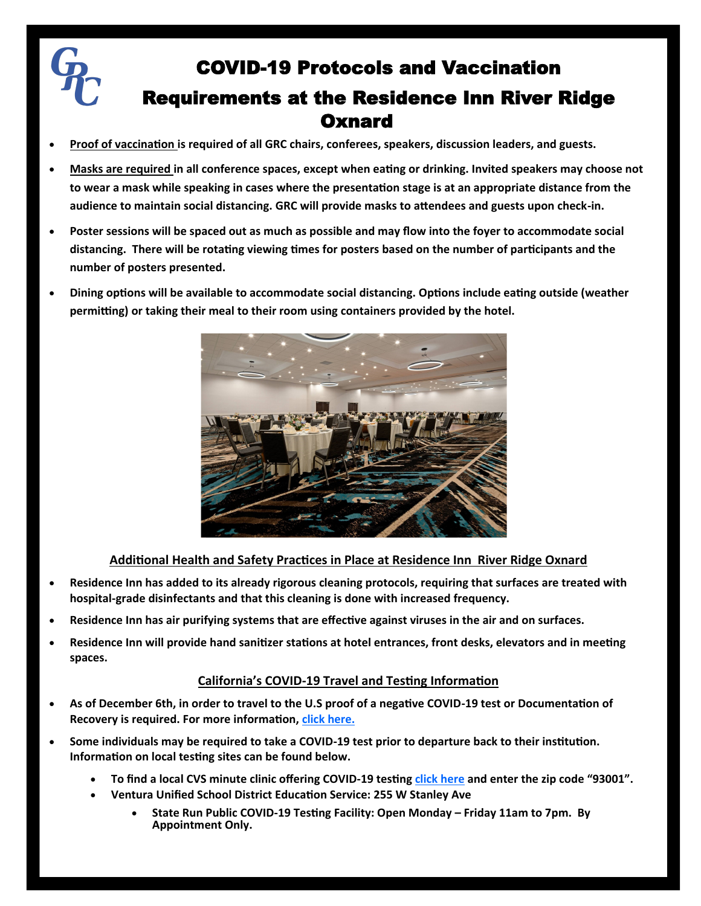

# COVID-19 Protocols and Vaccination Requirements at the Residence Inn River Ridge **Oxnard**

- **Proof of vaccination is required of all GRC chairs, conferees, speakers, discussion leaders, and guests.**
- **Masks are required in all conference spaces, except when eating or drinking. Invited speakers may choose not to wear a mask while speaking in cases where the presentation stage is at an appropriate distance from the audience to maintain social distancing. GRC will provide masks to attendees and guests upon check-in.**
- **Poster sessions will be spaced out as much as possible and may flow into the foyer to accommodate social distancing. There will be rotating viewing times for posters based on the number of participants and the number of posters presented.**
- **Dining options will be available to accommodate social distancing. Options include eating outside (weather permitting) or taking their meal to their room using containers provided by the hotel.**



# **Additional Health and Safety Practices in Place at Residence Inn River Ridge Oxnard**

- **Residence Inn has added to its already rigorous cleaning protocols, requiring that surfaces are treated with hospital-grade disinfectants and that this cleaning is done with increased frequency.**
- **Residence Inn has air purifying systems that are effective against viruses in the air and on surfaces.**
- **Residence Inn will provide hand sanitizer stations at hotel entrances, front desks, elevators and in meeting spaces.**

# **California's COVID-19 Travel and Testing Information**

- **As of December 6th, in order to travel to the U.S proof of a negative COVID-19 test or Documentation of Recovery is required. For more information, [click here.](https://www.cdc.gov/coronavirus/2019-ncov/travelers/testing-international-air-travelers.html#general)**
- **Some individuals may be required to take a COVID-19 test prior to departure back to their institution. Information on local testing sites can be found below.**
	- **To find a local CVS minute clinic offering COVID-19 testing [click here](https://www.cvs.com/minuteclinic/covid-19-testing) and enter the zip code "93001".**
	- **Ventura Unified School District Education Service: 255 W Stanley Ave**
		- **State Run Public COVID-19 Testing Facility: Open Monday – Friday 11am to 7pm. By Appointment Only.**